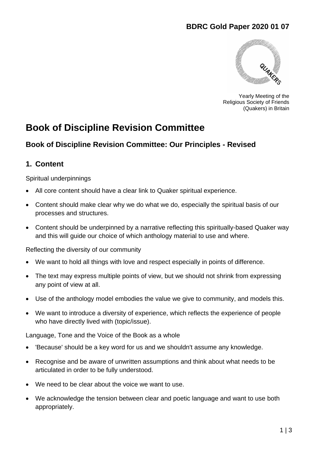# **BDRC Gold Paper 2020 01 07**



Yearly Meeting of the Religious Society of Friends (Quakers) in Britain

# **Book of Discipline Revision Committee**

## **Book of Discipline Revision Committee: Our Principles - Revised**

### **1. Content**

Spiritual underpinnings

- All core content should have a clear link to Quaker spiritual experience.
- Content should make clear why we do what we do, especially the spiritual basis of our processes and structures.
- Content should be underpinned by a narrative reflecting this spiritually-based Quaker way and this will guide our choice of which anthology material to use and where.

Reflecting the diversity of our community

- We want to hold all things with love and respect especially in points of difference.
- The text may express multiple points of view, but we should not shrink from expressing any point of view at all.
- Use of the anthology model embodies the value we give to community, and models this.
- We want to introduce a diversity of experience, which reflects the experience of people who have directly lived with (topic/issue).

Language, Tone and the Voice of the Book as a whole

- 'Because' should be a key word for us and we shouldn't assume any knowledge.
- Recognise and be aware of unwritten assumptions and think about what needs to be articulated in order to be fully understood.
- We need to be clear about the voice we want to use.
- We acknowledge the tension between clear and poetic language and want to use both appropriately.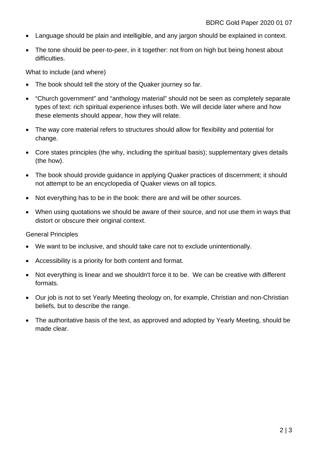- Language should be plain and intelligible, and any jargon should be explained in context.
- The tone should be peer-to-peer, in it together: not from on high but being honest about difficulties.

What to include (and where)

- The book should tell the story of the Quaker journey so far.
- "Church government" and "anthology material" should not be seen as completely separate types of text: rich spiritual experience infuses both. We will decide later where and how these elements should appear, how they will relate.
- The way core material refers to structures should allow for flexibility and potential for change.
- Core states principles (the why, including the spiritual basis); supplementary gives details (the how).
- The book should provide guidance in applying Quaker practices of discernment; it should not attempt to be an encyclopedia of Quaker views on all topics.
- Not everything has to be in the book: there are and will be other sources.
- When using quotations we should be aware of their source, and not use them in ways that distort or obscure their original context.

#### General Principles

- We want to be inclusive, and should take care not to exclude unintentionally.
- Accessibility is a priority for both content and format.
- Not everything is linear and we shouldn't force it to be. We can be creative with different formats.
- Our job is not to set Yearly Meeting theology on, for example, Christian and non-Christian beliefs, but to describe the range.
- The authoritative basis of the text, as approved and adopted by Yearly Meeting, should be made clear.